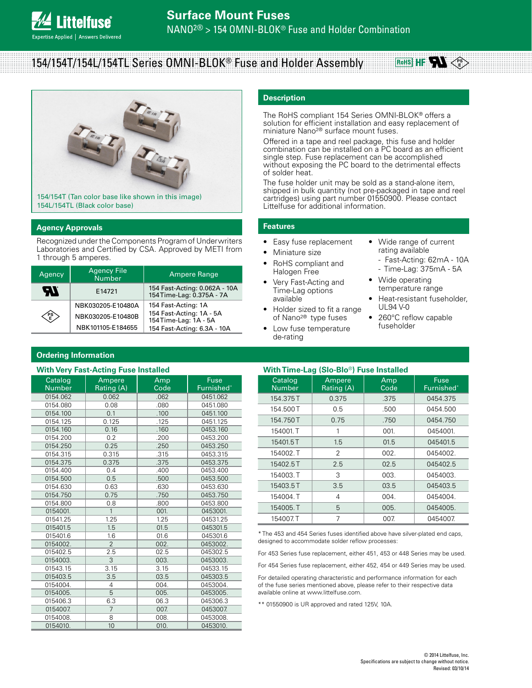## **Surface Mount Fuses**

NANO2® > 154 OMNI-BLOK® Fuse and Holder Combination

# 154/154T/154L/154TL Series OMNI-BLOK® Fuse and Holder Assembly



#### **Agency Approvals**

**ttelfuse**<sup>®</sup>

pertise Applied | Answers Delivered

Recognized under the Components Program of Underwriters Laboratories and Certified by CSA. Approved by METI from 1 through 5 amperes.

| Agency     | <b>Agency File</b><br><b>Number</b> | <b>Ampere Range</b>                                       |
|------------|-------------------------------------|-----------------------------------------------------------|
| <i>FTI</i> | E14721                              | 154 Fast-Acting: 0.062A - 10A<br>154Time-Lag: 0.375A - 7A |
|            | NBK030205-E10480A                   | 154 Fast-Acting: 1A                                       |
| ∕PS<br>√E  | NBK030205-E10480B                   | 154 Fast-Acting: 1A - 5A<br>154Time-Lag: 1A - 5A          |
|            | NBK101105-E184655                   | 154 Fast-Acting: 6.3A - 10A                               |

#### **Description**

The RoHS compliant 154 Series OMNI-BLOK® offers a solution for efficient installation and easy replacement of miniature Nano2® surface mount fuses.

Offered in a tape and reel package, this fuse and holder combination can be installed on a PC board as an efficient single step. Fuse replacement can be accomplished without exposing the PC board to the detrimental effects of solder heat.

The fuse holder unit may be sold as a stand-alone item, shipped in bulk quantity (not pre-packaged in tape and reel cartridges) using part number 01550900. Please contact Littelfuse for additional information.

#### **Features**

- Easy fuse replacement
- Miniature size • RoHS compliant and
- Halogen Free • Very Fast-Acting and Time-Lag options available
- Holder sized to fit a range of Nano2® type fuses
- Low fuse temperature de-rating
- Wide range of current rating available

**RoHS HF** 

- Fast-Acting: 62mA - 10A

**PS E**

- Time-Lag: 375mA 5A
- Wide operating temperature range
- Heat-resistant fuseholder, UL94 V-0
- 260°C reflow capable fuseholder

#### **Ordering Information With Very Fast-Acting Fuse Installed**

|                          | with very rast-Acting ruse installed |             |                    |
|--------------------------|--------------------------------------|-------------|--------------------|
| Catalog<br><b>Number</b> | Ampere<br>Rating (A)                 | Amp<br>Code | Fuse<br>Furnished* |
| 0154.062                 | 0.062                                | .062        | 0451.062           |
| 0154.080                 | 0.08                                 | .080        | 0451.080           |
| 0154.100                 | 0.1                                  | .100        | 0451.100           |
| 0154.125                 | 0.125                                | .125        | 0451.125           |
| 0154.160                 | 0.16                                 | .160        | 0453.160           |
| 0154.200                 | 0.2                                  | .200        | 0453.200           |
| 0154.250                 | 0.25                                 | .250        | 0453.250           |
| 0154.315                 | 0.315                                | .315        | 0453.315           |
| 0154.375                 | 0.375                                | .375        | 0453.375           |
| 0154.400                 | 0.4                                  | .400        | 0453.400           |
| 0154.500                 | 0.5                                  | .500        | 0453.500           |
| 0154.630                 | 0.63                                 | .630        | 0453.630           |
| 0154.750                 | 0.75                                 | .750        | 0453.750           |
| 0154.800                 | 0.8                                  | .800        | 0453.800           |
| 0154001.                 | $\overline{1}$                       | 001.        | 0453001.           |
| 01541.25                 | 1.25                                 | 1.25        | 04531.25           |
| 015401.5                 | 1.5                                  | 01.5        | 045301.5           |
| 015401.6                 | 1.6                                  | 01.6        | 045301.6           |
| 0154002.                 | $\overline{2}$                       | 002.        | 0453002.           |
| 015402.5                 | 2.5                                  | 02.5        | 045302.5           |
| 0154003.                 | 3                                    | 003.        | 0453003.           |
| 01543.15                 | 3.15                                 | 3.15        | 04533.15           |
| 015403.5                 | 3.5                                  | 03.5        | 045303.5           |
| 0154004.                 | 4                                    | 004.        | 0453004.           |
| 0154005.                 | 5                                    | 005.        | 0453005.           |
| 015406.3                 | 6.3                                  | 06.3        | 045306.3           |
| 0154007.                 | $\overline{7}$                       | 007.        | 0453007.           |
| 0154008.                 | 8                                    | 008.        | 0453008.           |
| 0154010.                 | 10                                   | 010.        | 0453010.           |

| With Time-Lag (Slo-Blo <sup>®</sup> ) Fuse Installed |                      |             |                    |
|------------------------------------------------------|----------------------|-------------|--------------------|
| Catalog<br><b>Number</b>                             | Ampere<br>Rating (A) | Amp<br>Code | Fuse<br>Furnished* |
| 154.375T                                             | 0.375                | .375        | 0454.375           |
| 154.500 T                                            | 0.5                  | .500        | 0454.500           |
| 154.750 T                                            | 0.75                 | .750        | 0454.750           |
| 154001.T                                             | 1                    | 001.        | 0454001.           |
| 15401.5T                                             | 1.5                  | 01.5        | 045401.5           |
| 154002.T                                             | 2                    | 002.        | 0454002.           |
| 15402.5T                                             | 2.5                  | 02.5        | 045402.5           |
| 154003. T                                            | 3                    | 003.        | 0454003.           |
| 15403.5T                                             | 3.5                  | 03.5        | 045403.5           |
| 154004.T                                             | 4                    | 004.        | 0454004.           |
| 154005.T                                             | 5                    | 005.        | 0454005.           |
| 154007.T                                             | 7                    | 007.        | 0454007            |

\* The 453 and 454 Series fuses identified above have silver-plated end caps, designed to accommodate solder reflow processes:

For 453 Series fuse replacement, either 451, 453 or 448 Series may be used.

For 454 Series fuse replacement, either 452, 454 or 449 Series may be used.

For detailed operating characteristic and performance information for each of the fuse series mentioned above, please refer to their respective data available online at www.littelfuse.com.

\*\* 01550900 is UR approved and rated 125V, 10A.